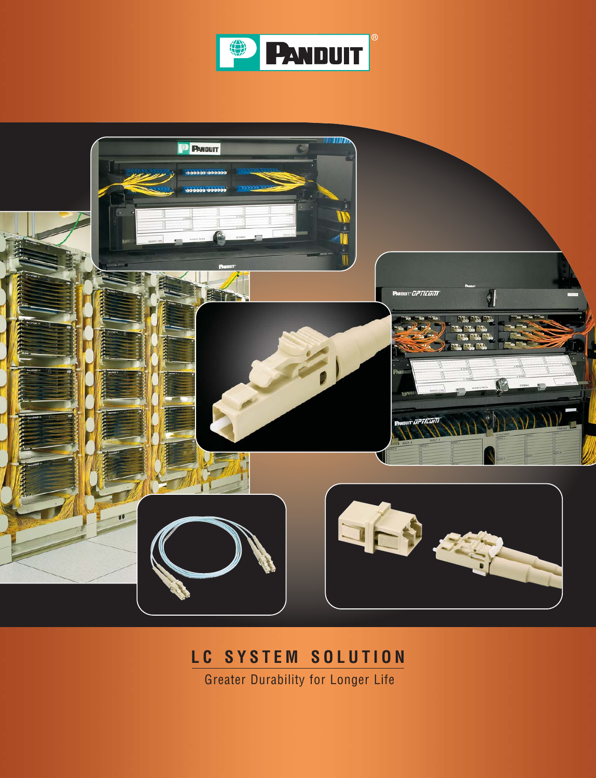



## **LC SYSTEM SOLUTION**

Greater Durability for Longer Life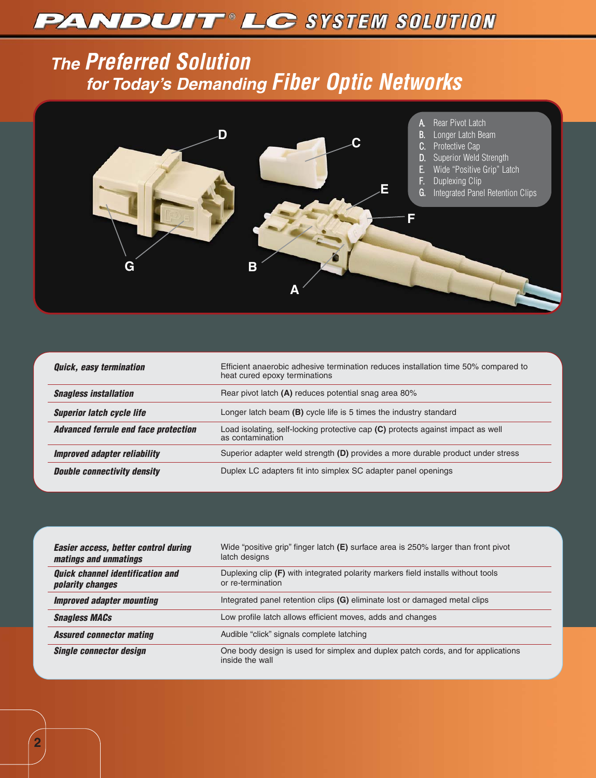# **PANDUIT LC SYSTEM SOLUTION**

## **The Preferred Solution for Today's Demanding Fiber Optic Networks**



| <b>Quick, easy termination</b>              | Efficient anaerobic adhesive termination reduces installation time 50% compared to<br>heat cured epoxy terminations |
|---------------------------------------------|---------------------------------------------------------------------------------------------------------------------|
| <b>Snagless installation</b>                | Rear pivot latch (A) reduces potential snag area 80%                                                                |
| <b>Superior latch cycle life</b>            | Longer latch beam $(B)$ cycle life is 5 times the industry standard                                                 |
| <b>Advanced ferrule end face protection</b> | Load isolating, self-locking protective cap (C) protects against impact as well<br>as contamination                 |
| <b>Improved adapter reliability</b>         | Superior adapter weld strength (D) provides a more durable product under stress                                     |
| <b>Double connectivity density</b>          | Duplex LC adapters fit into simplex SC adapter panel openings                                                       |

| <b>Easier access, better control during</b><br>matings and unmatings | Wide "positive grip" finger latch $(E)$ surface area is 250% larger than front pivot<br>latch designs   |
|----------------------------------------------------------------------|---------------------------------------------------------------------------------------------------------|
| <b>Quick channel identification and</b><br><i>polarity changes</i>   | Duplexing clip $(F)$ with integrated polarity markers field installs without tools<br>or re-termination |
| <b>Improved adapter mounting</b>                                     | Integrated panel retention clips (G) eliminate lost or damaged metal clips                              |
| <b>Snagless MACs</b>                                                 | Low profile latch allows efficient moves, adds and changes                                              |
| <b>Assured connector mating</b>                                      | Audible "click" signals complete latching                                                               |
| <b>Single connector design</b>                                       | One body design is used for simplex and duplex patch cords, and for applications<br>inside the wall     |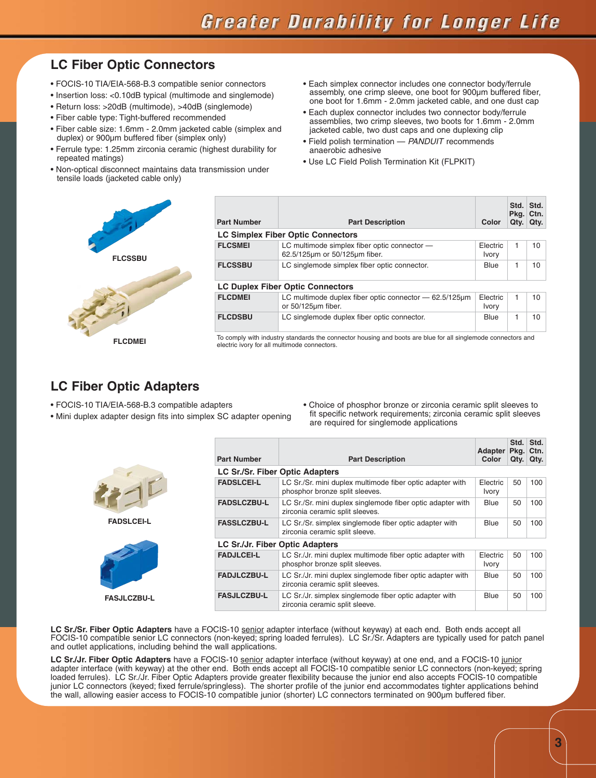### **LC Fiber Optic Connectors**

- FOCIS-10 TIA/EIA-568-B.3 compatible senior connectors
- Insertion loss: <0.10dB typical (multimode and singlemode)
- Return loss: >20dB (multimode), >40dB (singlemode)
- Fiber cable type: Tight-buffered recommended
- Fiber cable size: 1.6mm 2.0mm jacketed cable (simplex and duplex) or 900µm buffered fiber (simplex only)
- Ferrule type: 1.25mm zirconia ceramic (highest durability for repeated matings)
- Non-optical disconnect maintains data transmission under tensile loads (jacketed cable only)
- Each simplex connector includes one connector body/ferrule assembly, one crimp sleeve, one boot for 900µm buffered fiber, one boot for 1.6mm - 2.0mm jacketed cable, and one dust cap
- Each duplex connector includes two connector body/ferrule assemblies, two crimp sleeves, two boots for 1.6mm - 2.0mm jacketed cable, two dust caps and one duplexing clip
- Field polish termination PANDUIT recommends anaerobic adhesive
- Use LC Field Polish Termination Kit (FLPKIT)



| <b>Part Number</b> | <b>Part Description</b>                                                                                      |                          | Qty. | Std. Std.<br>Pkg. Ctn.<br>Qty. |
|--------------------|--------------------------------------------------------------------------------------------------------------|--------------------------|------|--------------------------------|
|                    | <b>LC Simplex Fiber Optic Connectors</b>                                                                     |                          |      |                                |
| <b>FLCSMEI</b>     | LC multimode simplex fiber optic connector -<br>62.5/125um or 50/125um fiber.                                | Electric<br><b>Ivory</b> | 1    | 10                             |
| <b>FLCSSBU</b>     | LC singlemode simplex fiber optic connector.                                                                 |                          | 1    | 10                             |
|                    | <b>LC Duplex Fiber Optic Connectors</b>                                                                      |                          |      |                                |
| <b>FLCDMEI</b>     | LC multimode duplex fiber optic connector $-62.5/125 \mu m$<br>or 50/125um fiber.                            | Electric<br><b>Ivory</b> | 1    | 10 <sup>10</sup>               |
| <b>FLCDSBU</b>     | LC singlemode duplex fiber optic connector.                                                                  | <b>Blue</b>              | 1    | 10                             |
|                    | To comply with industry standards the connector housing and boots are blue for all singlemode connectors and |                          |      |                                |

electric ivory for all multimode connectors.

### **LC Fiber Optic Adapters**

- FOCIS-10 TIA/EIA-568-B.3 compatible adapters
- Mini duplex adapter design fits into simplex SC adapter opening
	- are required for singlemode applications **Part Number Part Description Adapter Pkg. Ctn. Color Std. Std. Qty. Qty. LC Sr./Sr. Fiber Optic Adapters FADSLCEI-L** LC Sr./Sr. mini duplex multimode fiber optic adapter with phosphor bronze split sleeves. Electric Ivory 50 100 **FADSLCZBU-L** LC Sr./Sr. mini duplex singlemode fiber optic adapter with zirconia ceramic split sleeves. Blue 50 100 zirconia ceramic split sleeve. Blue 50 100 phosphor bronze split sleeves. Electric Ivory 50 100

• Choice of phosphor bronze or zirconia ceramic split sleeves to fit specific network requirements; zirconia ceramic split sleeves

| <b>FADSLCEI-L</b>  |
|--------------------|
|                    |
| <b>FASJLCZBU-L</b> |

| <b>FASSLCZBU-L</b>                                                                                                  | LC Sr./Sr. simplex singlemode fiber optic adapter with<br>zirconia ceramic split sleeve.    |                          | 50 | 100 |
|---------------------------------------------------------------------------------------------------------------------|---------------------------------------------------------------------------------------------|--------------------------|----|-----|
| <b>LC Sr./Jr. Fiber Optic Adapters</b>                                                                              |                                                                                             |                          |    |     |
| <b>FADJLCEI-L</b>                                                                                                   | LC Sr./Jr. mini duplex multimode fiber optic adapter with<br>phosphor bronze split sleeves. | Electric<br><b>Ivory</b> | 50 | 100 |
| LC Sr./Jr. mini duplex singlemode fiber optic adapter with<br><b>FADJLCZBU-L</b><br>zirconia ceramic split sleeves. |                                                                                             | Blue                     | 50 | 100 |
| <b>FASJLCZBU-L</b>                                                                                                  | LC Sr./Jr. simplex singlemode fiber optic adapter with<br>zirconia ceramic split sleeve.    | Blue                     | 50 | 100 |

LC Sr./Sr. Fiber Optic Adapters have a FOCIS-10 senior adapter interface (without keyway) at each end. Both ends accept all FOCIS-10 compatible senior LC connectors (non-keyed; spring loaded ferrules). LC Sr./Sr. Adapters are typically used for patch panel and outlet applications, including behind the wall applications.

LC Sr./Jr. Fiber Optic Adapters have a FOCIS-10 senior adapter interface (without keyway) at one end, and a FOCIS-10 junior adapter interface (with keyway) at the other end. Both ends accept all FOCIS-10 compatible senior LC connectors (non-keyed; spring loaded ferrules). LC Sr./Jr. Fiber Optic Adapters provide greater flexibility because the junior end also accepts FOCIS-10 compatible junior LC connectors (keyed; fixed ferrule/springless). The shorter profile of the junior end accommodates tighter applications behind the wall, allowing easier access to FOCIS-10 compatible junior (shorter) LC connectors terminated on 900µm buffered fiber.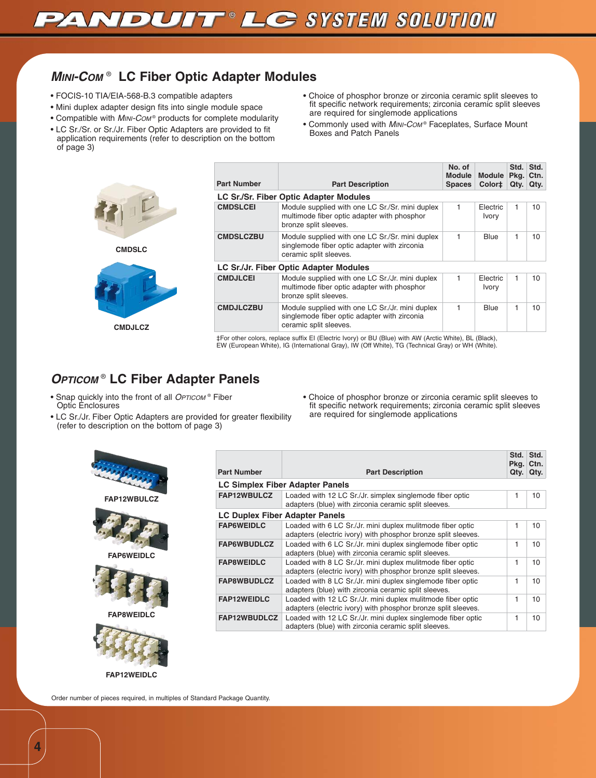### **MINI-COM** ® **LC Fiber Optic Adapter Modules**

- FOCIS-10 TIA/EIA-568-B.3 compatible adapters
- Mini duplex adapter design fits into single module space
- Compatible with MINI-COM® products for complete modularity
- LC Sr./Sr. or Sr./Jr. Fiber Optic Adapters are provided to fit application requirements (refer to description on the bottom of page 3)
	-



**LC Sr./Sr. Fiber Optic Adapter Modules CMDSLCEI** Module supplied with one LC Sr./Sr. mini duplex multimode fiber optic adapter with phosphor bronze split sleeves. 1 Electric Ivory  $1$  10 **CMDSLCZBU** Module supplied with one LC Sr./Sr. mini duplex singlemode fiber optic adapter with zirconia ceramic split sleeves. 1 | Blue | 1 | 10 **LC Sr./Jr. Fiber Optic Adapter Modules** Module supplied with one LC Sr./Jr. mini duplex multimode fiber optic adapter with phosphor bronze split sleeves. 1 Electric Ivory  $1$  10 **CMDJLCZBU** Module supplied with one LC Sr./Jr. mini duplex singlemode fiber optic adapter with zirconia ceramic split sleeves. 1 | Blue | 1 | 10

‡For other colors, replace suffix EI (Electric Ivory) or BU (Blue) with AW (Arctic White), BL (Black), EW (European White), IG (International Gray), IW (Off White), TG (Technical Gray) or WH (White).

### **OPTICOM** ® **LC Fiber Adapter Panels**

- Snap quickly into the front of all OPTICOM® Fiber Optic Enclosures
- LC Sr./Jr. Fiber Optic Adapters are provided for greater flexibility (refer to description on the bottom of page 3)
	- **Part Number Part Description Std. Std. Pkg. Ctn. Qty. Qty. LC Simplex Fiber Adapter Panels FAP12WBULCZ** Loaded with 12 LC Sr./Jr. simplex singlemode fiber optic adapters (blue) with zirconia ceramic split sleeves.  $1$  10 **LC Duplex Fiber Adapter Panels** Loaded with 6 LC Sr./Jr. mini duplex mulitmode fiber optic adapters (electric ivory) with phosphor bronze split sleeves.  $1$  10 **FAP6WBUDLCZ** | Loaded with 6 LC Sr./Jr. mini duplex singlemode fiber optic adapters (blue) with zirconia ceramic split sleeves.  $1 \t10$ **FAP8WEIDLC** Loaded with 8 LC Sr./Jr. mini duplex mulitmode fiber optic adapters (electric ivory) with phosphor bronze split sleeves.  $1$  10 **FAP8WBUDLCZ** Loaded with 8 LC Sr./Jr. mini duplex singlemode fiber optic adapters (blue) with zirconia ceramic split sleeves.  $1$  10 **FAP12WEIDLC** Loaded with 12 LC Sr./Jr. mini duplex mulitmode fiber optic adapters (electric ivory) with phosphor bronze split sleeves.  $1 \mid 10$ **FAP12WBUDLCZ** Loaded with 12 LC Sr./Jr. mini duplex singlemode fiber optic adapters (blue) with zirconia ceramic split sleeves.  $1$  10



**FAP12WEIDLC**

Order number of pieces required, in multiples of Standard Package Quantity.

• Choice of phosphor bronze or zirconia ceramic split sleeves to fit specific network requirements; zirconia ceramic split sleeves are required for singlemode applications

• Choice of phosphor bronze or zirconia ceramic split sleeves to fit specific network requirements; zirconia ceramic split sleeves

• Commonly used with MINI-Com® Faceplates, Surface Mount

**No. of Module Spaces**

**Module Color‡**

**Std. Std. Pkg. Qty.**

**Ctn. Qty.**

are required for singlemode applications

Boxes and Patch Panels

**Part Number Part Description** 

**4**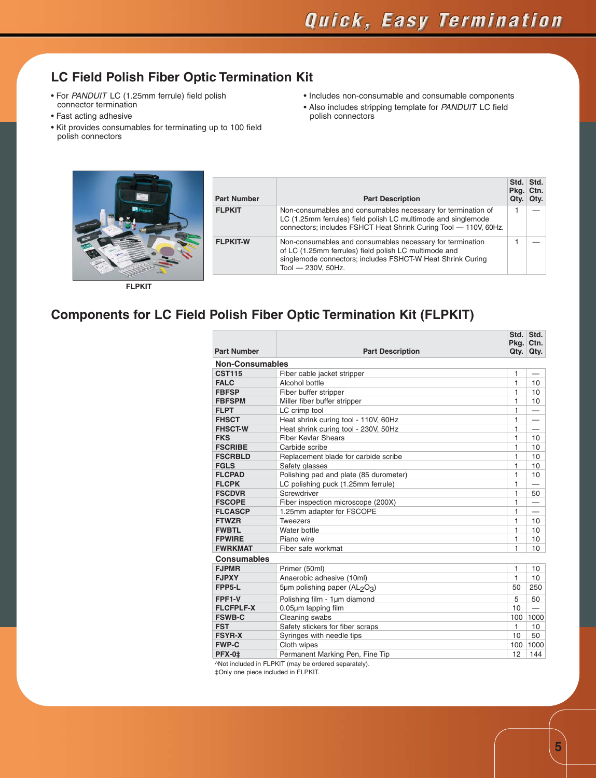### **LC Field Polish Fiber Optic Termination Kit**

- For PANDUIT LC (1.25mm ferrule) field polish connector termination
- Fast acting adhesive
- Kit provides consumables for terminating up to 100 field polish connectors
- Includes non-consumable and consumable components
- Also includes stripping template for PANDUIT LC field polish connectors



| <b>Part Number</b> | <b>Part Description</b>                                                                                                                                                                                | Std. Std.<br>Pkg. Ctn.<br>Qty. | Qty. |
|--------------------|--------------------------------------------------------------------------------------------------------------------------------------------------------------------------------------------------------|--------------------------------|------|
| <b>FLPKIT</b>      | Non-consumables and consumables necessary for termination of<br>LC (1.25mm ferrules) field polish LC multimode and singlemode<br>connectors; includes FSHCT Heat Shrink Curing Tool - 110V, 60Hz.      |                                |      |
| <b>FLPKIT-W</b>    | Non-consumables and consumables necessary for termination<br>of LC (1.25mm ferrules) field polish LC multimode and<br>singlemode connectors; includes FSHCT-W Heat Shrink Curing<br>Tool - 230V, 50Hz. |                                |      |

**FLPKIT**

## **Components for LC Field Polish Fiber Optic Termination Kit (FLPKIT)**

|                        |                                                       | Pkg. | Std. Std.<br>Ctn.        |
|------------------------|-------------------------------------------------------|------|--------------------------|
| <b>Part Number</b>     | <b>Part Description</b>                               | Qty. | Qty.                     |
| <b>Non-Consumables</b> |                                                       |      |                          |
| <b>CST115</b>          | Fiber cable jacket stripper                           | 1    |                          |
| <b>FALC</b>            | Alcohol bottle                                        | 1    | 10                       |
| <b>FBFSP</b>           | Fiber buffer stripper                                 | 1    | 10                       |
| <b>FBFSPM</b>          | Miller fiber buffer stripper                          | 1    | 10                       |
| <b>FLPT</b>            | LC crimp tool                                         | 1    |                          |
| <b>FHSCT</b>           | Heat shrink curing tool - 110V, 60Hz                  | 1    | $\overline{\phantom{0}}$ |
| <b>FHSCT-W</b>         | Heat shrink curing tool - 230V, 50Hz                  | 1    |                          |
| <b>FKS</b>             | <b>Fiber Kevlar Shears</b>                            | 1    | 10                       |
| <b>FSCRIBE</b>         | Carbide scribe                                        | 1    | 10                       |
| <b>FSCRBLD</b>         | Replacement blade for carbide scribe                  | 1    | 10                       |
| <b>FGLS</b>            | Safety glasses                                        | 1    | 10                       |
| <b>FLCPAD</b>          | Polishing pad and plate (85 durometer)                | 1    | 10                       |
| <b>FLCPK</b>           | LC polishing puck (1.25mm ferrule)                    | 1    |                          |
| <b>FSCDVR</b>          | Screwdriver                                           | 1    | 50                       |
| <b>FSCOPE</b>          | Fiber inspection microscope (200X)                    | 1    |                          |
| <b>FLCASCP</b>         | 1.25mm adapter for FSCOPE                             | 1    |                          |
| <b>FTWZR</b>           | <b>Tweezers</b>                                       | 1    | 10                       |
| <b>FWBTL</b>           | Water bottle                                          | 1    | 10                       |
| <b>FPWIRE</b>          | Piano wire                                            | 1    | 10                       |
| <b>FWRKMAT</b>         | Fiber safe workmat                                    | 1    | 10                       |
| <b>Consumables</b>     |                                                       |      |                          |
| <b>FJPMR</b>           | Primer (50ml)                                         | 1    | 10                       |
| <b>FJPXY</b>           | Anaerobic adhesive (10ml)                             | 1    | 10                       |
| FPP5-L                 | 5µm polishing paper (AL <sub>2</sub> O <sub>3</sub> ) | 50   | 250                      |
| FPF1-V                 | Polishing film - 1um diamond                          | 5    | 50                       |
| <b>FLCFPLF-X</b>       | 0.05µm lapping film                                   | 10   |                          |
| <b>FSWB-C</b>          | Cleaning swabs                                        | 100  | 1000                     |
| <b>FST</b>             | Safety stickers for fiber scraps                      | 1    | 10                       |
| <b>FSYR-X</b>          | Syringes with needle tips                             | 10   | 50                       |
| <b>FWP-C</b>           | Cloth wipes                                           | 100  | 1000                     |
| <b>PFX-0‡</b>          | Permanent Marking Pen, Fine Tip                       | 12   | 144                      |

^Not included in FLPKIT (may be ordered separately).

‡Only one piece included in FLPKIT.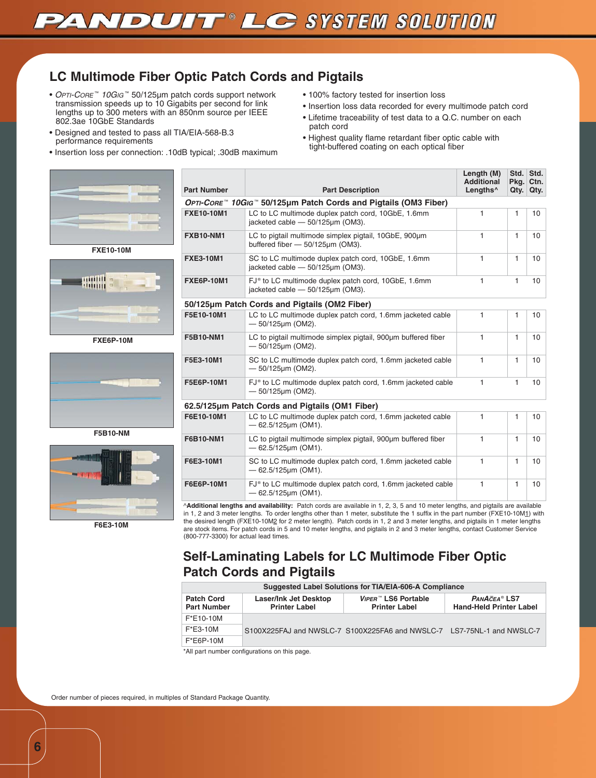

### **LC Multimode Fiber Optic Patch Cords and Pigtails**

- OPTI-CORE™ 10GIG™ 50/125µm patch cords support network transmission speeds up to 10 Gigabits per second for link lengths up to 300 meters with an 850nm source per IEEE 802.3ae 10GbE Standards
- Designed and tested to pass all TIA/EIA-568-B.3 performance requirements
- Insertion loss per connection: .10dB typical; .30dB maximum





**FXE6P-10M**



**F5B10-NM**



**F6E3-10M**

^**Additional lengths and availability:** Patch cords are available in 1, 2, 3, 5 and 10 meter lengths, and pigtails are available **Part Number Part Description Length (M) Additional Lengths^ Std. Std. Pkg. Qty. Ctn. Qty. OPTI-CORE** ™ **10GIG** ™ **50/125µm Patch Cords and Pigtails (OM3 Fiber) FXE10-10M1** LC to LC multimode duplex patch cord, 10GbE, 1.6mm jacketed cable — 50/125µm (OM3). 1  $1 \t10$ **FXB10-NM1** LC to pigtail multimode simplex pigtail, 10GbE, 900µm buffered fiber — 50/125µm (OM3). 1 1 10 **FXE3-10M1** SC to LC multimode duplex patch cord, 10GbE, 1.6mm jacketed cable — 50/125µm (OM3). 1 1 10 **FXE6P-10M1** FJ<sup>®</sup> to LC multimode duplex patch cord, 10GbE, 1.6mm jacketed cable — 50/125µm (OM3). 1 1 10 **50/125µm Patch Cords and Pigtails (OM2 Fiber) F5E10-10M1** LC to LC multimode duplex patch cord, 1.6mm jacketed cable — 50/125µm (OM2). 1 1 10 **F5B10-NM1** LC to pigtail multimode simplex pigtail, 900µm buffered fiber — 50/125µm (OM2).  $1 \t1 \t10$ **F5E3-10M1** SC to LC multimode duplex patch cord, 1.6mm jacketed cable — 50/125µm (OM2). 1  $1 \t10$ **F5E6P-10M1** FJ<sup>®</sup> to LC multimode duplex patch cord, 1.6mm jacketed cable — 50/125µm (OM2). 1 1 10 **62.5/125µm Patch Cords and Pigtails (OM1 Fiber) F6E10-10M1** LC to LC multimode duplex patch cord, 1.6mm jacketed cable 62.5/125µm (OM1).  $1 \t1 \t10$ **F6B10-NM1** LC to pigtail multimode simplex pigtail, 900µm buffered fiber — 62.5/125µm (OM1).  $1 1 10$ **F6E3-10M1** SC to LC multimode duplex patch cord, 1.6mm jacketed cable — 62.5/125µm (OM1). 1  $1 \t110$ **F6E6P-10M1** FJ<sup>®</sup> to LC multimode duplex patch cord, 1.6mm jacketed cable — 62.5/125µm (OM1).  $1 \t1 \t10$ 

in 1, 2 and 3 meter lengths. To order lengths other than 1 meter, substitute the 1 suffix in the part number (FXE10-10M1) with the desired length (FXE10-10M2 for 2 meter length). Patch cords in 1, 2 and 3 meter lengths, and pigtails in 1 meter lengths are stock items. For patch cords in 5 and 10 meter lengths, and pigtails in 2 and 3 meter lengths, contact Customer Service (800-777-3300) for actual lead times.

### **Self-Laminating Labels for LC Multimode Fiber Optic Patch Cords and Pigtails**

| <b>Suggested Label Solutions for TIA/EIA-606-A Compliance</b> |                                                      |                                                                        |  |  |
|---------------------------------------------------------------|------------------------------------------------------|------------------------------------------------------------------------|--|--|
| <b>Patch Cord</b><br><b>Part Number</b>                       | <b>Laser/Ink Jet Desktop</b><br><b>Printer Label</b> | PANACEA <sup>®</sup> LS7<br><b>Hand-Held Printer Label</b>             |  |  |
| F*E10-10M                                                     |                                                      | S100X225FAJ and NWSLC-7 S100X225FA6 and NWSLC-7 LS7-75NL-1 and NWSLC-7 |  |  |
| $F*E3-10M$                                                    |                                                      |                                                                        |  |  |
| $F*E6P-10M$                                                   |                                                      |                                                                        |  |  |

\*All part number configurations on this page.

Order number of pieces required, in multiples of Standard Package Quantity.

- 100% factory tested for insertion loss
- Insertion loss data recorded for every multimode patch cord
- Lifetime traceability of test data to a Q.C. number on each patch cord
- Highest quality flame retardant fiber optic cable with tight-buffered coating on each optical fiber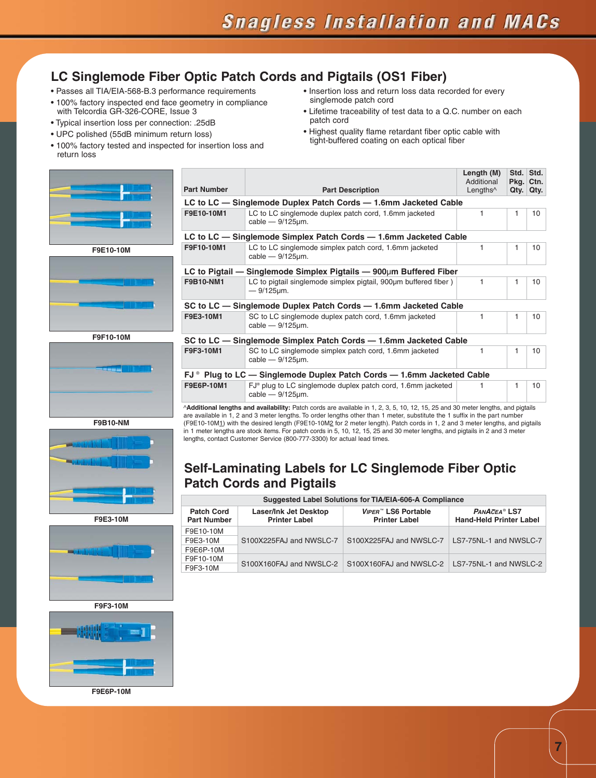### **LC Singlemode Fiber Optic Patch Cords and Pigtails (OS1 Fiber)**

- Passes all TIA/EIA-568-B.3 performance requirements
- 100% factory inspected end face geometry in compliance with Telcordia GR-326-CORE, Issue 3
- Typical insertion loss per connection: .25dB
- UPC polished (55dB minimum return loss)
- 100% factory tested and inspected for insertion loss and return loss
- 









**F9E3-10M**





**F9E6P-10M**

- Insertion loss and return loss data recorded for every singlemode patch cord
- Lifetime traceability of test data to a Q.C. number on each patch cord
- Highest quality flame retardant fiber optic cable with tight-buffered coating on each optical fiber

| <b>Part Number</b>                                                                      | <b>Part Description</b>                                                                                                        | Length (M)<br>Additional<br>Lengths <sup>^</sup> | Std.<br>Pkg.<br>Qty. | Std.<br>Ctn.<br>Qty. |
|-----------------------------------------------------------------------------------------|--------------------------------------------------------------------------------------------------------------------------------|--------------------------------------------------|----------------------|----------------------|
|                                                                                         | LC to LC - Singlemode Duplex Patch Cords - 1.6mm Jacketed Cable                                                                |                                                  |                      |                      |
| F9E10-10M1                                                                              | LC to LC singlemode duplex patch cord, 1.6mm jacketed<br>cable $-9/125 \mu m$ .                                                | 1                                                | 1                    | 10                   |
|                                                                                         | LC to LC — Singlemode Simplex Patch Cords — 1.6mm Jacketed Cable                                                               |                                                  |                      |                      |
| F9F10-10M1                                                                              | LC to LC singlemode simplex patch cord, 1.6mm jacketed<br>cable $-9/125 \mu m$ .                                               | 1                                                | 1                    | 10                   |
|                                                                                         | LC to Pigtail — Singlemode Simplex Pigtails — $900 \mu m$ Buffered Fiber                                                       |                                                  |                      |                      |
| F9B10-NM1                                                                               | LC to pigtail singlemode simplex pigtail, 900um buffered fiber)<br>$-9/125 \mu m$ .                                            | 1                                                | 1                    | 10                   |
|                                                                                         | SC to LC — Singlemode Duplex Patch Cords — 1.6mm Jacketed Cable                                                                |                                                  |                      |                      |
| F9E3-10M1                                                                               | SC to LC singlemode duplex patch cord, 1.6mm jacketed<br>cable $-9/125 \mu m$ .                                                | 1                                                | 1                    | 10                   |
|                                                                                         | SC to LC - Singlemode Simplex Patch Cords - 1.6mm Jacketed Cable                                                               |                                                  |                      |                      |
| F9F3-10M1                                                                               | SC to LC singlemode simplex patch cord, 1.6mm jacketed<br>cable $-9/125 \mu m$ .                                               | 1                                                | 1                    | 10                   |
| $\mathsf{FJ}^{\circ}$ Plug to LC — Singlemode Duplex Patch Cords — 1.6mm Jacketed Cable |                                                                                                                                |                                                  |                      |                      |
| F9E6P-10M1                                                                              | FJ <sup>®</sup> plug to LC singlemode duplex patch cord, 1.6mm jacketed<br>cable $-9/125 \mu m$ .                              | 1                                                | 1                    | 10                   |
|                                                                                         | AA ditional lengths and ovailability Datab carde are available in 1, 0, 0, 5, 10, 10, 15, 05 and 20 metationathe, and pictoile |                                                  |                      |                      |

**Additional lengths and availability:** Patch cords are available in 1, 2, 3, 5, 10, 12, 15, 25 and 30 meter lengths, and pig are available in 1, 2 and 3 meter lengths. To order lengths other than 1 meter, substitute the 1 suffix in the part number (F9E10-10M1) with the desired length (F9E10-10M2 for 2 meter length). Patch cords in 1, 2 and 3 meter lengths, and pigtails in 1 meter lengths are stock items. For patch cords in 5, 10, 12, 15, 25 and 30 meter lengths, and pigtails in 2 and 3 meter lengths, contact Customer Service (800-777-3300) for actual lead times.

### **Self-Laminating Labels for LC Singlemode Fiber Optic Patch Cords and Pigtails**

| Suggested Label Solutions for TIA/EIA-606-A Compliance |                                                      |                                                                |                                                            |  |  |
|--------------------------------------------------------|------------------------------------------------------|----------------------------------------------------------------|------------------------------------------------------------|--|--|
| <b>Patch Cord</b><br><b>Part Number</b>                | <b>Laser/Ink Jet Desktop</b><br><b>Printer Label</b> | <i>VIPER</i> <sup>™</sup> LS6 Portable<br><b>Printer Label</b> | PANACEA <sup>®</sup> LS7<br><b>Hand-Held Printer Label</b> |  |  |
| F9E10-10M                                              |                                                      |                                                                |                                                            |  |  |
| F9E3-10M                                               | S100X225FAJ and NWSLC-7                              | S100X225FAJ and NWSLC-7                                        | LS7-75NL-1 and NWSLC-7                                     |  |  |
| F9E6P-10M                                              |                                                      |                                                                |                                                            |  |  |
| F9F10-10M<br>F9F3-10M                                  | S100X160FAJ and NWSLC-2                              | S100X160FAJ and NWSLC-2   LS7-75NL-1 and NWSLC-2               |                                                            |  |  |